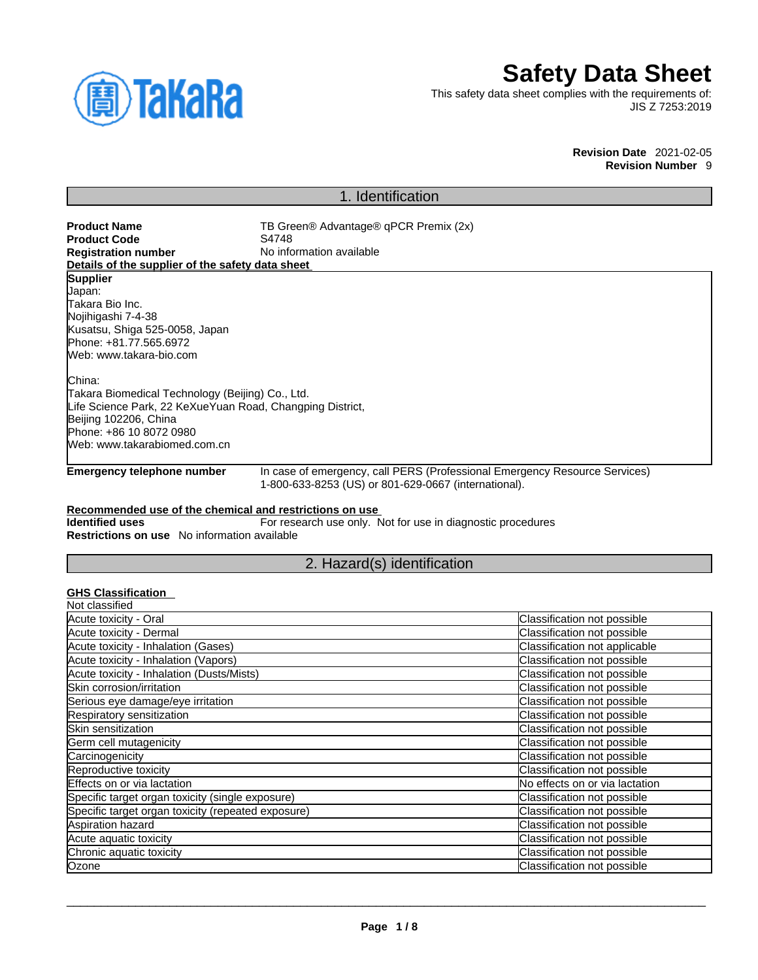

# **Safety Data Sheet**

This safety data sheet complies with the requirements of: JIS Z 7253:2019

> **Revision Date** 2021-02-05 **Revision Number** 9

# 1. Identification

| <b>Product Name</b><br><b>Product Code</b><br><b>Registration number</b>                                                                                                                                      | TB Green® Advantage® qPCR Premix (2x)<br>S4748<br>No information available                                                         |
|---------------------------------------------------------------------------------------------------------------------------------------------------------------------------------------------------------------|------------------------------------------------------------------------------------------------------------------------------------|
| Details of the supplier of the safety data sheet<br><b>Supplier</b><br>Japan:<br>Takara Bio Inc.<br>Nojihigashi 7-4-38<br>Kusatsu, Shiga 525-0058, Japan<br>Phone: +81.77.565.6972<br>Web: www.takara-bio.com |                                                                                                                                    |
| China:<br>Takara Biomedical Technology (Beijing) Co., Ltd.<br>Life Science Park, 22 KeXueYuan Road, Changping District,<br>Beijing 102206, China<br>Phone: +86 10 8072 0980<br>Web: www.takarabiomed.com.cn   |                                                                                                                                    |
| <b>Emergency telephone number</b>                                                                                                                                                                             | In case of emergency, call PERS (Professional Emergency Resource Services)<br>1-800-633-8253 (US) or 801-629-0667 (international). |
| Recommended use of the chemical and restrictions on use                                                                                                                                                       |                                                                                                                                    |

**Identified uses** For research use only. Not for use in diagnostic procedures **Restrictions on use** No information available

# 2. Hazard(s) identification

## **GHS Classification**

| Not classified                                     |                                |
|----------------------------------------------------|--------------------------------|
| Acute toxicity - Oral                              | Classification not possible    |
| Acute toxicity - Dermal                            | Classification not possible    |
| Acute toxicity - Inhalation (Gases)                | Classification not applicable  |
| Acute toxicity - Inhalation (Vapors)               | Classification not possible    |
| Acute toxicity - Inhalation (Dusts/Mists)          | Classification not possible    |
| Skin corrosion/irritation                          | Classification not possible    |
| Serious eye damage/eye irritation                  | Classification not possible    |
| Respiratory sensitization                          | Classification not possible    |
| Skin sensitization                                 | Classification not possible    |
| Germ cell mutagenicity                             | Classification not possible    |
| Carcinogenicity                                    | Classification not possible    |
| Reproductive toxicity                              | Classification not possible    |
| Effects on or via lactation                        | No effects on or via lactation |
| Specific target organ toxicity (single exposure)   | Classification not possible    |
| Specific target organ toxicity (repeated exposure) | Classification not possible    |
| Aspiration hazard                                  | Classification not possible    |
| Acute aquatic toxicity                             | Classification not possible    |
| Chronic aquatic toxicity                           | Classification not possible    |
| Ozone                                              | Classification not possible    |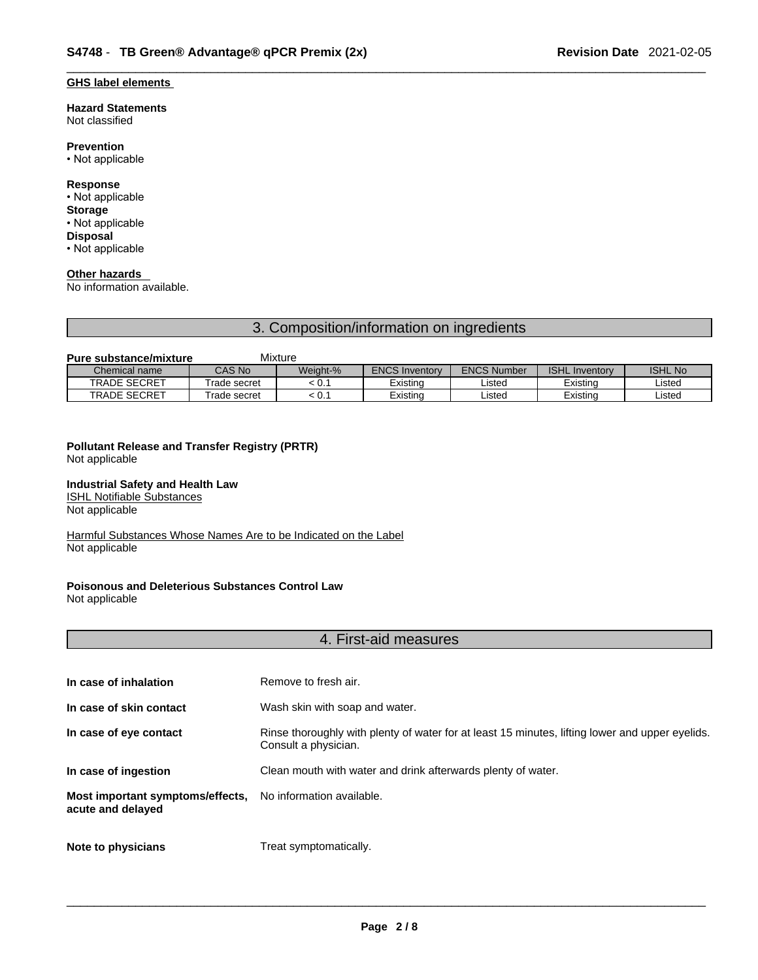### **GHS label elements**

#### **Hazard Statements**  Not classified

### **Prevention**

• Not applicable

### **Response**

• Not applicable **Storage** • Not applicable

**Disposal** • Not applicable

### **Other hazards**

No information available.

# 3. Composition/information on ingredients

### **Pure substance/mixture** Mixture

| Chemical name       | <b>CAS No</b> | Weight-% | <b>ENCS Inventory</b> | <b>ENCS Number</b> | <b>ISHL Inventory</b> | <b>ISHL No</b> |
|---------------------|---------------|----------|-----------------------|--------------------|-----------------------|----------------|
| <b>TRADE SECRET</b> | Frade secret  | ∶0.1     | Existinc              | Listed             | Existina              | Listed         |
| <b>TRADE SECRET</b> | Frade secret  | ∶ U. .   | Existinc              | Listed             | Existina              | Listed         |

## **Pollutant Release and Transfer Registry (PRTR)**

Not applicable

### **Industrial Safety and Health Law**

ISHL Notifiable Substances Not applicable

Harmful Substances Whose Names Are to be Indicated on the Label Not applicable

# **Poisonous and Deleterious Substances Control Law**

Not applicable

### 4. First-aid measures

| In case of inhalation                                 | Remove to fresh air.                                                                                                    |
|-------------------------------------------------------|-------------------------------------------------------------------------------------------------------------------------|
| In case of skin contact                               | Wash skin with soap and water.                                                                                          |
| In case of eye contact                                | Rinse thoroughly with plenty of water for at least 15 minutes, lifting lower and upper eyelids.<br>Consult a physician. |
| In case of ingestion                                  | Clean mouth with water and drink afterwards plenty of water.                                                            |
| Most important symptoms/effects,<br>acute and delayed | No information available.                                                                                               |
| Note to physicians                                    | Treat symptomatically.                                                                                                  |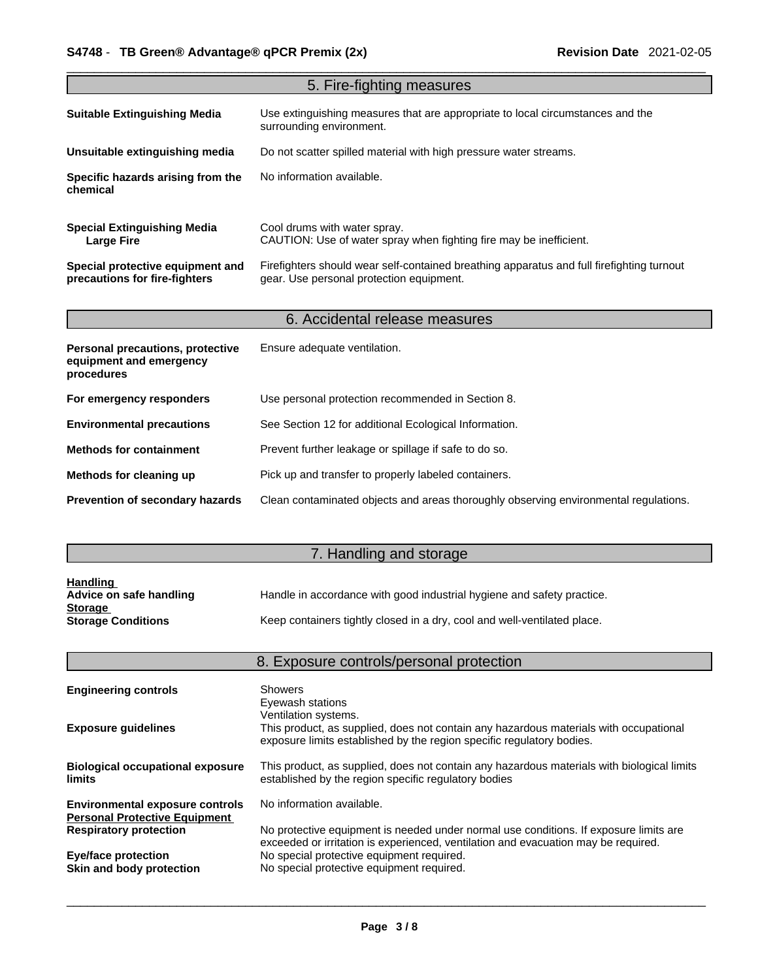|                                                                           | 5. Fire-fighting measures                                                                                                             |
|---------------------------------------------------------------------------|---------------------------------------------------------------------------------------------------------------------------------------|
| <b>Suitable Extinguishing Media</b>                                       | Use extinguishing measures that are appropriate to local circumstances and the<br>surrounding environment.                            |
| Unsuitable extinguishing media                                            | Do not scatter spilled material with high pressure water streams.                                                                     |
| Specific hazards arising from the<br>chemical                             | No information available.                                                                                                             |
| <b>Special Extinguishing Media</b><br><b>Large Fire</b>                   | Cool drums with water spray.<br>CAUTION: Use of water spray when fighting fire may be inefficient.                                    |
| Special protective equipment and<br>precautions for fire-fighters         | Firefighters should wear self-contained breathing apparatus and full firefighting turnout<br>gear. Use personal protection equipment. |
|                                                                           | 6. Accidental release measures                                                                                                        |
| Personal precautions, protective<br>equipment and emergency<br>procedures | Ensure adequate ventilation.                                                                                                          |
| For emergency responders                                                  | Use personal protection recommended in Section 8.                                                                                     |
| <b>Environmental precautions</b>                                          | See Section 12 for additional Ecological Information.                                                                                 |
| <b>Methods for containment</b>                                            | Prevent further leakage or spillage if safe to do so.                                                                                 |
| Methods for cleaning up                                                   | Pick up and transfer to properly labeled containers.                                                                                  |
| Prevention of secondary hazards                                           | Clean contaminated objects and areas thoroughly observing environmental regulations.                                                  |

# 7. Handling and storage

| <b>Handling</b>           |                                                                          |
|---------------------------|--------------------------------------------------------------------------|
| Advice on safe handling   | Handle in accordance with good industrial hygiene and safety practice.   |
| <b>Storage</b>            |                                                                          |
| <b>Storage Conditions</b> | Keep containers tightly closed in a dry, cool and well-ventilated place. |

|                                                                                | 8. Exposure controls/personal protection                                                                                                                                    |
|--------------------------------------------------------------------------------|-----------------------------------------------------------------------------------------------------------------------------------------------------------------------------|
| <b>Engineering controls</b>                                                    | <b>Showers</b><br>Eyewash stations                                                                                                                                          |
| <b>Exposure guidelines</b>                                                     | Ventilation systems.<br>This product, as supplied, does not contain any hazardous materials with occupational                                                               |
|                                                                                | exposure limits established by the region specific regulatory bodies.                                                                                                       |
| <b>Biological occupational exposure</b><br>limits                              | This product, as supplied, does not contain any hazardous materials with biological limits<br>established by the region specific regulatory bodies                          |
| <b>Environmental exposure controls</b><br><b>Personal Protective Equipment</b> | No information available.                                                                                                                                                   |
| <b>Respiratory protection</b>                                                  | No protective equipment is needed under normal use conditions. If exposure limits are<br>exceeded or irritation is experienced, ventilation and evacuation may be required. |
| <b>Eye/face protection</b><br>Skin and body protection                         | No special protective equipment required.<br>No special protective equipment required.                                                                                      |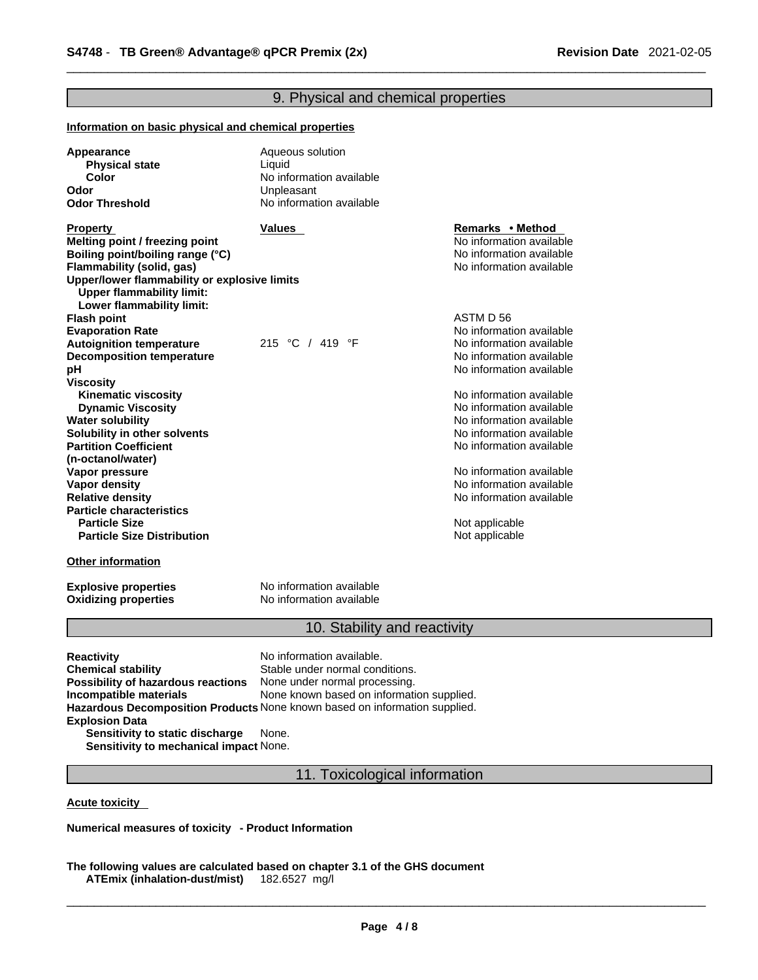### 9. Physical and chemical properties **Information on basic physical and chemical properties Appearance Aqueous solution**<br>**Physical state Aqueous solution Physical state**<br>Color **No information available Odor** Unpleasant **No information available Other information Property CONSISTED SETS Values Remarks •** Method **Remarks •** Method **Melting point / freezing point**  $\blacksquare$  **Melting point** No information available **Boiling point/boiling range (°C)** and the set of the set of the No information available **Flammability** (solid, gas) and the state of the state of the No information available **Upper/lower flammability or explosive limits Upper flammability limit: Lower flammability limit: Flash point** ASTM D 56 **Evaporation Rate**<br> **Autoignition temperature** 215 °C / 419 °F No information available<br> **Autoignition temperature** 215 °C / 419 °F No information available **Autoignition temperature** 215 °C / 419 °F No information available<br> **Decomposition temperature** 215 °C / 419 °F No information available **Decomposition temperature pH bH b Viscosity Kinematic viscosity Notified and Server Allen available** Note that Monder available **Dynamic Viscosity**<br> **Water solubility**<br> **Water solubility**<br> **Water Solubility**<br> **Water Solubility No information available Solubility in other solvents intervalsed notation No information available No** information available **Partition Coefficient (n-octanol/water)** No information available **Vapor pressure**<br> **Vapor density**<br> **Vapor density**<br> **Vapor density Vapor density**<br> **Vapor density**<br> **Relative density**<br> **Relative density Relative density** No information available **Particle characteristics Not applicable Particle Size Distribution** Not applicable

**Oxidizing properties** 

**Explosive properties**<br> **Oxidizing properties**<br>
No information available

### 10. Stability and reactivity

**Reactivity No information available. Chemical stability** Stable under normal conditions. **Possibility of hazardous reactions** None under normal processing. **Incompatible materials** None known based on information supplied. **Hazardous Decomposition Products** None known based on information supplied. **Explosion Data Sensitivity to static discharge** None. **Sensitivity to mechanical impact** None.

11. Toxicological information

**Acute toxicity** 

**Numerical measures of toxicity - Product Information**

**The following values are calculated based on chapter 3.1 of the GHS document ATEmix (inhalation-dust/mist)**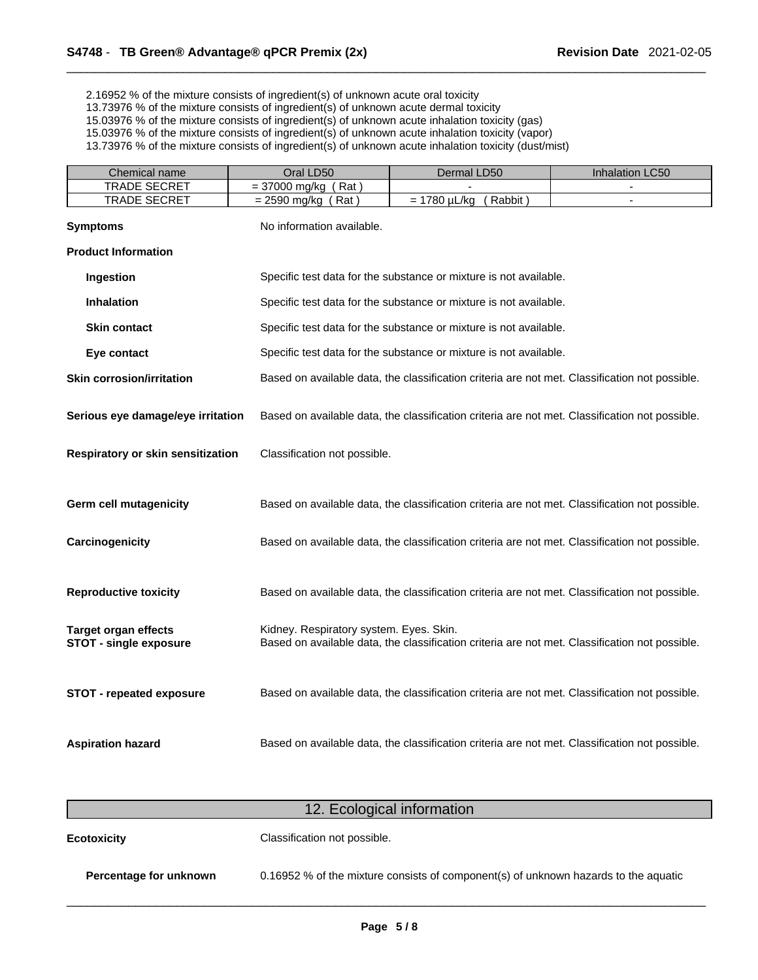2.16952 % of the mixture consists of ingredient(s) of unknown acute oral toxicity

13.73976 % of the mixture consists of ingredient(s) of unknown acute dermal toxicity

15.03976 % of the mixture consists of ingredient(s) of unknown acute inhalation toxicity (gas)

15.03976 % of the mixture consists of ingredient(s) of unknown acute inhalation toxicity (vapor)

13.73976 % of the mixture consists of ingredient(s) of unknown acute inhalation toxicity (dust/mist)

| Chemical name                                                | Oral LD50                               | Dermal LD50                                                                                    | Inhalation LC50 |
|--------------------------------------------------------------|-----------------------------------------|------------------------------------------------------------------------------------------------|-----------------|
| <b>TRADE SECRET</b>                                          | $= 37000$ mg/kg (Rat)                   |                                                                                                |                 |
| TRADE SECRET                                                 | $= 2590$ mg/kg (Rat)                    | $= 1780 \mu L/kg$<br>(Rabbit)                                                                  | $\sim$          |
| <b>Symptoms</b>                                              | No information available.               |                                                                                                |                 |
| <b>Product Information</b>                                   |                                         |                                                                                                |                 |
| Ingestion                                                    |                                         | Specific test data for the substance or mixture is not available.                              |                 |
| <b>Inhalation</b>                                            |                                         | Specific test data for the substance or mixture is not available.                              |                 |
| <b>Skin contact</b>                                          |                                         | Specific test data for the substance or mixture is not available.                              |                 |
| Eye contact                                                  |                                         | Specific test data for the substance or mixture is not available.                              |                 |
| <b>Skin corrosion/irritation</b>                             |                                         | Based on available data, the classification criteria are not met. Classification not possible. |                 |
| Serious eye damage/eye irritation                            |                                         | Based on available data, the classification criteria are not met. Classification not possible. |                 |
| Respiratory or skin sensitization                            | Classification not possible.            |                                                                                                |                 |
|                                                              |                                         |                                                                                                |                 |
| <b>Germ cell mutagenicity</b>                                |                                         | Based on available data, the classification criteria are not met. Classification not possible. |                 |
| Carcinogenicity                                              |                                         | Based on available data, the classification criteria are not met. Classification not possible. |                 |
| <b>Reproductive toxicity</b>                                 |                                         | Based on available data, the classification criteria are not met. Classification not possible. |                 |
| <b>Target organ effects</b><br><b>STOT - single exposure</b> | Kidney. Respiratory system. Eyes. Skin. | Based on available data, the classification criteria are not met. Classification not possible. |                 |
|                                                              |                                         |                                                                                                |                 |
| <b>STOT - repeated exposure</b>                              |                                         | Based on available data, the classification criteria are not met. Classification not possible. |                 |
| <b>Aspiration hazard</b>                                     |                                         | Based on available data, the classification criteria are not met. Classification not possible. |                 |

| 12. Ecological information |                                                                                     |  |  |
|----------------------------|-------------------------------------------------------------------------------------|--|--|
| <b>Ecotoxicity</b>         | Classification not possible.                                                        |  |  |
| Percentage for unknown     | 0.16952 % of the mixture consists of component(s) of unknown hazards to the aquatic |  |  |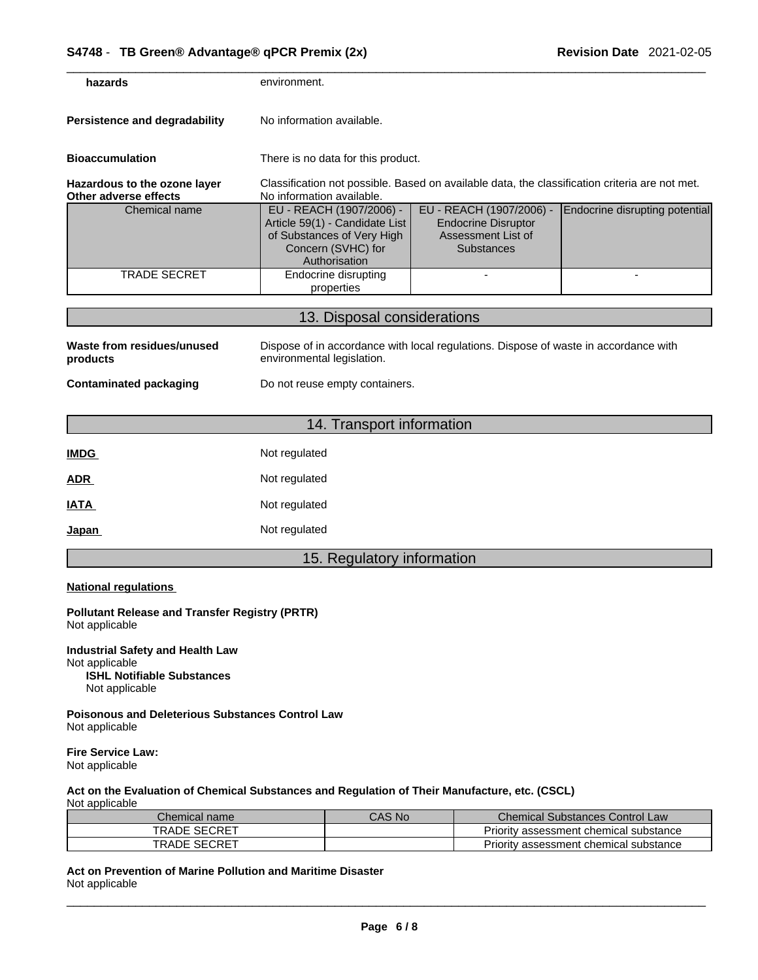| hazards                                               | environment.                                                                                                                    |                                                                                                   |                                |
|-------------------------------------------------------|---------------------------------------------------------------------------------------------------------------------------------|---------------------------------------------------------------------------------------------------|--------------------------------|
| <b>Persistence and degradability</b>                  | No information available.                                                                                                       |                                                                                                   |                                |
| <b>Bioaccumulation</b>                                | There is no data for this product.                                                                                              |                                                                                                   |                                |
| Hazardous to the ozone layer<br>Other adverse effects | Classification not possible. Based on available data, the classification criteria are not met.<br>No information available.     |                                                                                                   |                                |
| Chemical name                                         | EU - REACH (1907/2006) -<br>Article 59(1) - Candidate List<br>of Substances of Very High<br>Concern (SVHC) for<br>Authorisation | EU - REACH (1907/2006) -<br><b>Endocrine Disruptor</b><br>Assessment List of<br><b>Substances</b> | Endocrine disrupting potential |
| <b>TRADE SECRET</b>                                   | Endocrine disrupting<br>properties                                                                                              |                                                                                                   | $\blacksquare$                 |
|                                                       | 13. Disposal considerations                                                                                                     |                                                                                                   |                                |
| Waste from residues/unused<br>products                | Dispose of in accordance with local regulations. Dispose of waste in accordance with<br>environmental legislation.              |                                                                                                   |                                |
| <b>Contaminated packaging</b>                         | Do not reuse empty containers.                                                                                                  |                                                                                                   |                                |
|                                                       |                                                                                                                                 |                                                                                                   |                                |
|                                                       | 14. Transport information                                                                                                       |                                                                                                   |                                |
| <b>IMDG</b>                                           | Not regulated                                                                                                                   |                                                                                                   |                                |
| <b>ADR</b>                                            | Not regulated                                                                                                                   |                                                                                                   |                                |
|                                                       |                                                                                                                                 |                                                                                                   |                                |

**IATA** Not regulated

# **Japan Not regulated**

# 15. Regulatory information

### **National regulations**

**Pollutant Release and Transfer Registry (PRTR)** Not applicable

**Industrial Safety and Health Law** Not applicable **ISHL Notifiable Substances** Not applicable

**Poisonous and Deleterious Substances Control Law** Not applicable

**Fire Service Law:** Not applicable

### **Act on the Evaluation of Chemical Substances and Regulation of Their Manufacture, etc. (CSCL)** Not applicable

| Chemical name <sup>®</sup> | CAS No | <b>Chemical Substances Control Law</b> |
|----------------------------|--------|----------------------------------------|
| <b>SECRET</b><br>TRADE     |        | Priority assessment chemical substance |
| . SECRET<br>TRADE          |        | Priority assessment chemical substance |

**Act on Prevention of Marine Pollution and Maritime Disaster** Not applicable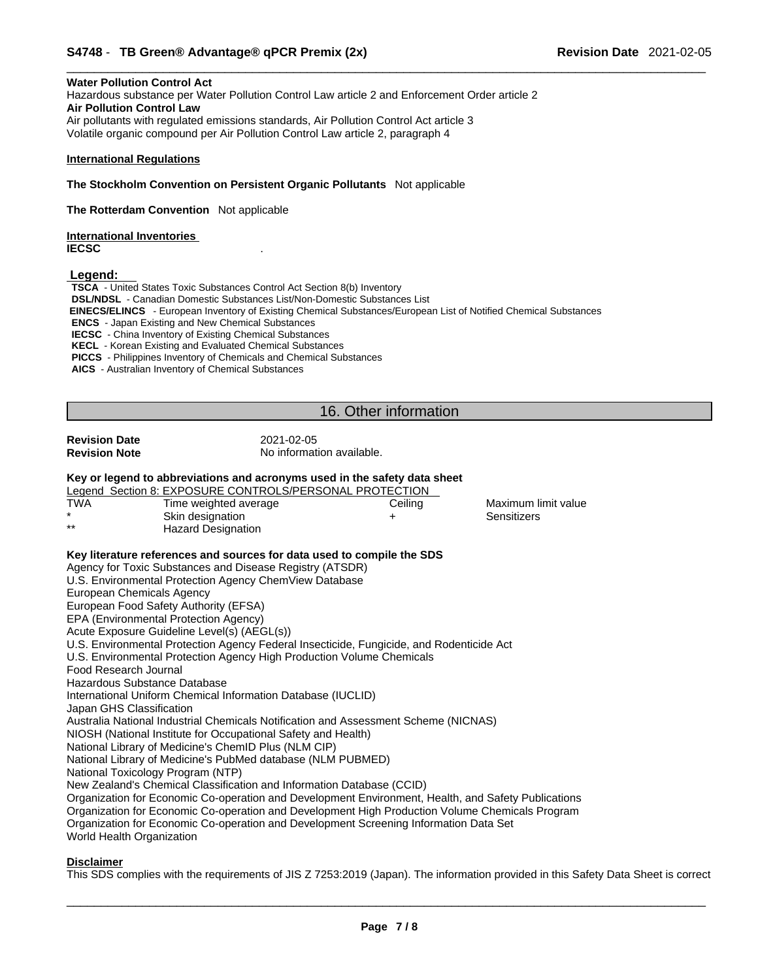### **Water Pollution Control Act**

Hazardous substance per Water Pollution Control Law article 2 and Enforcement Order article 2 **Air Pollution Control Law** Air pollutants with regulated emissions standards, Air Pollution Control Act article 3 Volatile organic compound per Air Pollution Control Law article 2, paragraph 4

### **International Regulations**

**The Stockholm Convention on Persistent Organic Pollutants** Not applicable

**The Rotterdam Convention** Not applicable

**International Inventories IECSC** .

 **Legend:** 

**TSCA** - United States Toxic Substances Control Act Section 8(b) Inventory **DSL/NDSL** - Canadian Domestic Substances List/Non-Domestic Substances List  **EINECS/ELINCS** - European Inventory of Existing Chemical Substances/European List of Notified Chemical Substances **ENCS** - Japan Existing and New Chemical Substances **IECSC** - China Inventory of Existing Chemical Substances **KECL** - Korean Existing and Evaluated Chemical Substances **PICCS** - Philippines Inventory of Chemicals and Chemical Substances **AICS** - Australian Inventory of Chemical Substances

# 16. Other information

**Revision Date** 2021-02-05<br> **Revision Note** 2021-02-05

**No information available.** 

### **Key or legend to abbreviations and acronyms used in the safety data sheet**

|         | Legend Section 8: EXPOSURE CONTROLS/PERSONAL PROTECTION |         |                     |  |
|---------|---------------------------------------------------------|---------|---------------------|--|
| TWA     | Time weighted average                                   | Ceiling | Maximum limit value |  |
| $\star$ | Skin designation                                        |         | Sensitizers         |  |
| $**$    | Hazard Designation                                      |         |                     |  |

### **Key literature references and sources for data used to compile the SDS**

Agency for Toxic Substances and Disease Registry (ATSDR)

U.S. Environmental Protection Agency ChemView Database

European Chemicals Agency

European Food Safety Authority (EFSA)

EPA (Environmental Protection Agency)

Acute Exposure Guideline Level(s) (AEGL(s))

U.S. Environmental Protection Agency Federal Insecticide, Fungicide, and Rodenticide Act

U.S. Environmental Protection Agency High Production Volume Chemicals

Food Research Journal

Hazardous Substance Database

International Uniform Chemical Information Database (IUCLID)

Japan GHS Classification

Australia National Industrial Chemicals Notification and Assessment Scheme (NICNAS)

NIOSH (National Institute for Occupational Safety and Health)

National Library of Medicine's ChemID Plus (NLM CIP)

National Library of Medicine's PubMed database (NLM PUBMED)

National Toxicology Program (NTP)

New Zealand's Chemical Classification and Information Database (CCID)

Organization for Economic Co-operation and Development Environment, Health, and Safety Publications Organization for Economic Co-operation and Development High Production Volume Chemicals Program

Organization for Economic Co-operation and Development Screening Information Data Set

World Health Organization

### **Disclaimer**

This SDS complies with the requirements of JIS Z 7253:2019 (Japan). The information provided in this Safety Data Sheet is correct